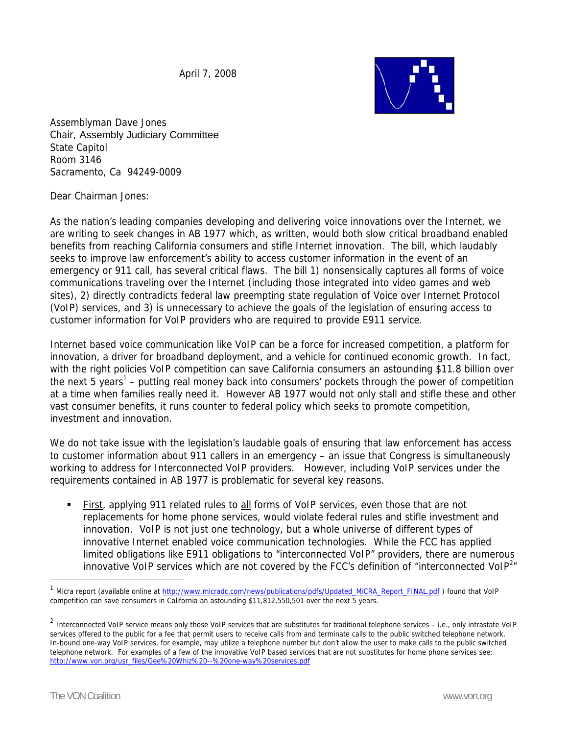April 7, 2008



Assemblyman Dave Jones Chair, Assembly Judiciary Committee State Capitol Room 3146 Sacramento, Ca 94249-0009

Dear Chairman Jones:

As the nation's leading companies developing and delivering voice innovations over the Internet, we are writing to seek changes in AB 1977 which, as written, would both slow critical broadband enabled benefits from reaching California consumers and stifle Internet innovation. The bill, which laudably seeks to improve law enforcement's ability to access customer information in the event of an emergency or 911 call, has several critical flaws. The bill 1) nonsensically captures all forms of voice communications traveling over the Internet (including those integrated into video games and web sites), 2) directly contradicts federal law preempting state regulation of Voice over Internet Protocol (VoIP) services, and 3) is unnecessary to achieve the goals of the legislation of ensuring access to customer information for VoIP providers who are required to provide E911 service.

Internet based voice communication like VoIP can be a force for increased competition, a platform for innovation, a driver for broadband deployment, and a vehicle for continued economic growth. In fact, with the right policies VoIP competition can save California consumers an astounding \$11.8 billion over the next 5 years<sup>1</sup> – putting real money back into consumers' pockets through the power of competition at a time when families really need it. However AB 1977 would not only stall and stifle these and other vast consumer benefits, it runs counter to federal policy which seeks to promote competition, investment and innovation.

We do not take issue with the legislation's laudable goals of ensuring that law enforcement has access to customer information about 911 callers in an emergency – an issue that Congress is simultaneously working to address for Interconnected VoIP providers. However, including VoIP services under the requirements contained in AB 1977 is problematic for several key reasons.

First, applying 911 related rules to all forms of VoIP services, even those that are not replacements for home phone services, would violate federal rules and stifle investment and innovation. VoIP is not just one technology, but a whole universe of different types of innovative Internet enabled voice communication technologies. While the FCC has applied limited obligations like E911 obligations to "interconnected VoIP" providers, there are numerous innovative VoIP services which are not covered by the FCC's definition of "interconnected VoIP<sup>2</sup>"

 $\overline{a}$ 

Micra report (available online at http://www.micradc.com/news/publications/pdfs/Updated\_MiCRA\_Report\_FINAL.pdf ) found that VoIP competition can save consumers in California an astounding \$11,812,550,501 over the next 5 years.

<sup>&</sup>lt;sup>2</sup> Interconnected VoIP service means only those VoIP services that are substitutes for traditional telephone services – i.e., only intrastate VoIP services offered to the public for a fee that permit users to receive calls from and terminate calls to the public switched telephone network. In-bound one-way VoIP services, for example, may utilize a telephone number but don't allow the user to make calls to the public switched telephone network. For examples of a few of the innovative VoIP based services that are not substitutes for home phone services see: http://www.von.org/usr\_files/Gee%20Whiz%20--%20one-way%20services.pdf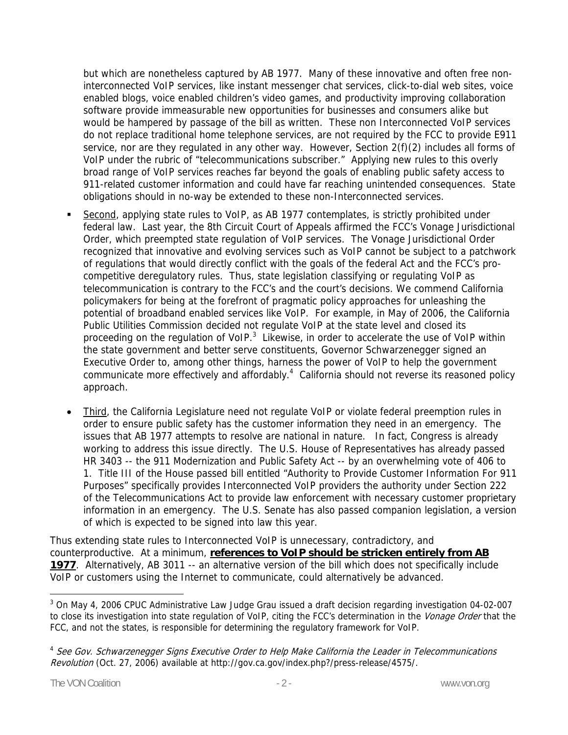but which are nonetheless captured by AB 1977. Many of these innovative and often free noninterconnected VoIP services, like instant messenger chat services, click-to-dial web sites, voice enabled blogs, voice enabled children's video games, and productivity improving collaboration software provide immeasurable new opportunities for businesses and consumers alike but would be hampered by passage of the bill as written. These non Interconnected VoIP services do not replace traditional home telephone services, are not required by the FCC to provide E911 service, nor are they regulated in any other way. However, Section 2(f)(2) includes all forms of VoIP under the rubric of "telecommunications subscriber." Applying new rules to this overly broad range of VoIP services reaches far beyond the goals of enabling public safety access to 911-related customer information and could have far reaching unintended consequences. State obligations should in no-way be extended to these non-Interconnected services.

- Second, applying state rules to VoIP, as AB 1977 contemplates, is strictly prohibited under federal law. Last year, the 8th Circuit Court of Appeals affirmed the FCC's Vonage Jurisdictional Order, which preempted state regulation of VoIP services. The Vonage Jurisdictional Order recognized that innovative and evolving services such as VoIP cannot be subject to a patchwork of regulations that would directly conflict with the goals of the federal Act and the FCC's procompetitive deregulatory rules. Thus, state legislation classifying or regulating VoIP as telecommunication is contrary to the FCC's and the court's decisions. We commend California policymakers for being at the forefront of pragmatic policy approaches for unleashing the potential of broadband enabled services like VoIP. For example, in May of 2006, the California Public Utilities Commission decided not regulate VoIP at the state level and closed its proceeding on the regulation of VoIP.<sup>3</sup> Likewise, in order to accelerate the use of VoIP within the state government and better serve constituents, Governor Schwarzenegger signed an Executive Order to, among other things, harness the power of VoIP to help the government communicate more effectively and affordably.<sup>4</sup> California should not reverse its reasoned policy approach.
- Third, the California Legislature need not regulate VoIP or violate federal preemption rules in order to ensure public safety has the customer information they need in an emergency. The issues that AB 1977 attempts to resolve are national in nature. In fact, Congress is already working to address this issue directly. The U.S. House of Representatives has already passed HR 3403 -- the 911 Modernization and Public Safety Act -- by an overwhelming vote of 406 to 1. Title III of the House passed bill entitled "Authority to Provide Customer Information For 911 Purposes" specifically provides Interconnected VoIP providers the authority under Section 222 of the Telecommunications Act to provide law enforcement with necessary customer proprietary information in an emergency. The U.S. Senate has also passed companion legislation, a version of which is expected to be signed into law this year.

Thus extending state rules to Interconnected VoIP is unnecessary, contradictory, and counterproductive. At a minimum, **references to VoIP should be stricken entirely from AB 1977**. Alternatively, AB 3011 -- an alternative version of the bill which does not specifically include VoIP or customers using the Internet to communicate, could alternatively be advanced.

 $\overline{a}$ 

<sup>&</sup>lt;sup>3</sup> On May 4, 2006 CPUC Administrative Law Judge Grau issued a draft decision regarding investigation 04-02-007 to close its investigation into state regulation of VoIP, citing the FCC's determination in the Vonage Order that the FCC, and not the states, is responsible for determining the regulatory framework for VoIP.

<sup>4</sup> See Gov. Schwarzenegger Signs Executive Order to Help Make California the Leader in Telecommunications Revolution (Oct. 27, 2006) available at http://gov.ca.gov/index.php?/press-release/4575/.